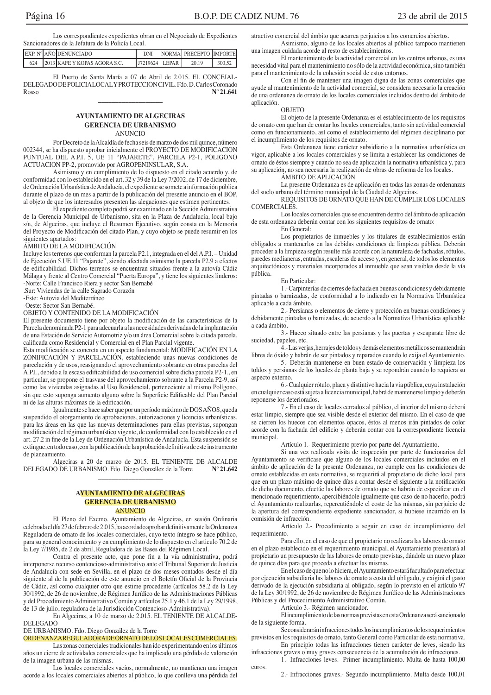Los correspondientes expedientes obran en el Negociado de Expedientes Sancionadores de la Jefatura de la Policía Local.

|     | EXP. Nº AÑO DENUNCIADO       |                    | NORMAL PRECEPTO IMPORTE |        |
|-----|------------------------------|--------------------|-------------------------|--------|
| 624 | 2013 KAFE Y KOPAS AGORA S.C. | I J7219624 I LEPAR | 20.19                   | 300.52 |

El Puerto de Santa María a 07 de Abril de 2.015. EL CONCEJAL-DELEGADO DE POLICIALOCAL Y PROTECCION CIVIL. Fdo. D. Carlos Coronado Rosso  $N^{\circ} 21.641$ 

# **AYUNTAMIENTO DE ALGECIRAS GERENCIA DE URBANISMO ANUNCIO**

Por Decreto de la Alcaldía de fecha seis de marzo de dos mil quince, número 002344, se ha dispuesto aprobar inicialmente el PROYECTO DE MODIFICACION PUNTUAL DEL A.P.I. 5, UE 11 "PAJARETE", PARCELA P2-1, POLIGONO ACTUACION PP-2, promovido por AGROPENINSULAR, S.A.

Asimismo y en cumplimiento de lo dispuesto en el citado acuerdo y, de conformidad con lo establecido en el art. 32 y 39 de la Ley 7/2002, de 17 de diciembre, de Ordenación Urbanística de Andalucía, el expediente se somete a información pública durante el plazo de un mes a partir de la publicación del presente anuncio en el BOP, al objeto de que los interesados presenten las alegaciones que estimen pertinentes.

El expediente completo podrá ser examinado en la Sección Administrativa<br>de la Gerencia Municipal de Urbanismo, sita en la Plaza de Andalucía, local bajo s/n, de Algeciras, que incluye el Resumen Ejecutivo, según consta en la Memoria del Proyecto de Modificación del citado Plan, y cuyo objeto se puede resumir en los siguientes apartados:

#### ÁMBITO DE LA MODIFICACIÓN

Incluye los terrenos que conforman la parcela P2.1, integrada en el del A.P.I. - Unidad de Ejecución 5.UE.11 "Pajarete", siendo afectada asimismo la parcela P2.9 a efectos de edificabilidad. Dichos terrenos se encuentran situados frente a la autovía Cádiz Málaga y frente al Centro Comercial "Puerta Europa", y tiene los siguientes linderos: -Norte: Calle Francisco Riera y sector San Bernabé

.Sur: Viviendas de la calle Sagrado Corazón

-Este: Autovia del Mediterráneo -Oeste: Sector San Bernabé.

OBJETO Y CONTENIDO DE LA MODIFICACIÓN

El presente documento tiene por objeto la modificación de las características de la Parcela denominada P2-1 para adecuarla a las necesidades derivadas de la implantación de una Estación de Servicio Automotriz y/o un área Comercial sobre la citada parcela, calificada como Residencial y Comercial en el Plan Parcial vigente.

Esta modificación se concreta en un aspecto fundamental: MODIFICACIÓN EN LA ZONIFICACIÓN Y PARCELACIÓN, estableciendo unas nuevas condiciones de parcelación y de usos, reasignando el aprovechamiento sobrante en otras parcelas del A.P.I., debido a la escasa edificabilidad de uso comercial sobre dicha parcela P2-1., en particular, se propone el trasvase del aprovechamiento sobrante a la Parcela P2-9, así como las viviendas asignadas al Uso Residencial, perteneciente al mismo Polígono, sin que esto suponga aumento alguno sobre la Superficie Edificable del Plan Parcial ni de las alturas máximas de la edificación.

Igualmente se hace saber que por un período máximo de DOS AÑOS, queda suspendido el otorgamiento de aprobaciones, autorizaciones y licencias urbanísticas, para las áreas en las que las nuevas determinaciones para ellas previstas, supongan modificación del régimen urbanístico vigente, de conformidad con lo establecido en el art. 27.2 in fine de la Ley de Ordenación Urbanística de Andalucía. Esta suspensión se extingue, en todo caso, con la publicación de la aprobación definitiva de este instrumento de planeamiento.

Algeciras a 20 de marzo de 2015. EL TENIENTE DE ALCALDE DELEGADO DE URBANISMO. Fdo. Diego González de la Torre  $N^{o}$  21.642

### **AYUNTAMIENTO DE ALGECIRAS GERENCIA DE URBANISMO ANUNCIO**

El Pleno del Excmo. Ayuntamiento de Algeciras, en sesión Ordinaria celebrada el día 27 de febrero de 2.015, ha acordado aprobar definitivamente la Ordenanza Reguladora de ornato de los locales comerciales, cuyo texto íntegro se hace público, para su general conocimiento y en cumplimiento de lo dispuesto en el articulo 70.2 de la Ley 7/1985, de 2 de abril, Reguladora de las Bases del Régimen Local.

Contra el presente acto, que pone fin a la vía administrativa, podrá interponerse recurso contencioso-administrativo ante el Tribunal Superior de Justicia de Andalucía con sede en Sevilla, en el plazo de dos meses contados desde el día siguiente al de la publicación de este anuncio en el Boletín Oficial de la Provincia de Cádiz, así como cualquier otro que estime procedente (artículos 58.2 de la Ley 30/1992, de 26 de noviembre, de Régimen Jurídico de las Administraciones Públicas y del Procedimiento Administrativo Común y artículos 25.1 y 46.1 de la Ley 29/1998, de 13 de julio, reguladora de la Jurisdicción Contencioso-Administrativa).

En Algeciras, a 10 de marzo de 2.015. EL TENIENTE DE ALCALDE-**DELEGADO** 

DE URBANISMO. Fdo. Diego González de la Torre<br>ORDENANZAREGULADORADE ORNATO DE LOS LOCALES COMERCIALES.

Las zonas comerciales tradicionales han ido experimentando en los últimos años un cierre de actividades comerciales que ha implicado una pérdida de valoración de la imagen urbana de las mismas.

Los locales comerciales vacíos, normalmente, no mantienen una imagen acorde a los locales comerciales abiertos al público, lo que conlleva una pérdida del atractivo comercial del ámbito que acarrea perjuicios a los comercios abiertos.

Asimismo, alguno de los locales abiertos al público tampoco mantienen una imagen cuidada acorde al resto de establecimientos.

El mantenimiento de la actividad comercial en los centros urbanos, es una necesidad vital para el mantenimiento no sólo de la actividad económica, sino también para el mantenimiento de la cohesión social de estos entornos.

Con el fin de mantener una imagen digna de las zonas comerciales que ayude al mantenimiento de la actividad comercial, se considera necesario la creación de una ordenanza de ornato de los locales comerciales incluidos dentro del ámbito de aplicación.

#### OBJETO

El objeto de la presente Ordenanza es el establecimiento de los requisitos de ornato con que han de contar los locales comerciales, tanto sin actividad comercial como en funcionamiento, así como el establecimiento del régimen disciplinario por el incumplimiento de los requisitos de ornato.

Esta Ordenanza tiene carácter subsidiario a la normativa urbanística en vigor, aplicable a los locales comerciales y se limita a establecer las condiciones de ornato de éstos siempre y cuando no sea de aplicación la normativa urbanística y, para su aplicación, no sea necesaria la realización de obras de reforma de los locales.

# ÁMBITO DE APLICACIÓN

La presente Ordenanza es de aplicación en todas las zonas de ordenanzas del suelo urbano del término municipal de la Ciudad de Algeciras.

REQUISITOS DE ORNATO QUE HAN DE CUMPLIR LOS LOCALES COMERCIALES.

Los locales comerciales que se encuentren dentro del ámbito de aplicación de esta ordenanza deberán contar con los siguientes requisitos de ornato:

En General:

Los propietarios de inmuebles y los titulares de establecimientos están obligados a mantenerlos en las debidas condiciones de limpieza pública. Deberán proceder a la limpieza según resulte más acorde con la naturaleza de fachadas, rótulos, paredes medianeras, entradas, escaleras de acceso y, en general, de todos los elementos arquitectónicos y materiales incorporados al inmueble que sean visibles desde la vía pública.

#### En Particular:

1.- Carpinterías de cierres de fachada en buenas condiciones y debidamente pintadas o barnizadas, de conformidad a lo indicado en la Normativa Urbanística aplicable a cada ámbito.

2.- Persianas o elementos de cierre y protección en buenas condiciones y debidamente pintadas o barnizadas, de acuerdo a la Normativa Urbanística aplicable a cada ámbito.

3.- Hueco situado entre las persianas y las puertas y escaparate libre de suciedad, papeles, etc.

4.-Las verjas, herrajes de toldos y demás elementos metálicos se mantendrán libres de óxido y habrán de ser pintados y reparados cuando lo exija el Ayuntamiento.

5.- Deberán mantenerse en buen estado de conservación y limpieza los toldos y persianas de los locales de planta baja y se repondrán cuando lo requiera su aspecto externo.

6.- Cualquier rótulo, placa y distintivo hacia la vía pública, cuya instalación en cualquier caso está sujeta a licencia municipal, habrá de mantenerse limpio y deberán reponerse los deteriorados.

7.- En el caso de locales cerrados al público, el interior del mismo deberá estar limpio, siempre que sea visible desde el exterior del mismo. En el caso de que se cierren los huecos con elementos opacos, éstos al menos irán pintados de color acorde con la fachada del edificio y deberán contar con la correspondiente licencia municipal.

Artículo 1.- Requerimiento previo por parte del Ayuntamiento.

Si una vez realizada visita de inspección por parte de funcionarios del Ayuntamiento se verificase que alguno de los locales comerciales incluidos en el ámbito de aplicación de la presente Ordenanza, no cumple con las condiciones de ornato establecidas en esta normativa, se requerirá al propietario de dicho local para que en un plazo máximo de quince días a contar desde el siguiente a la notificación de dicho documento, efectúe las labores de ornato que se habrán de especificar en el mencionado requerimiento, apercibiéndole igualmente que caso de no hacerlo, podrá el Ayuntamiento realizarlas, repercutiéndole el coste de las mismas, sin perjuicio de la apertura del correspondiente expediente sancionador, si hubiese incurrido en la comisión de infracción.

Artículo 2.- Procedimiento a seguir en caso de incumplimiento del requerimiento.

Para ello, en el caso de que el propietario no realizara las labores de ornato en el plazo establecido en el requerimiento municipal, el Ayuntamiento presentará al propietario un presupuesto de las labores de ornato previstas, dándole un nuevo plazo de quince días para que proceda a efectuar las mismas.

En el caso de que no lo hiciera, el Ayuntamiento estará facultado para efectuar por ejecución subsidiaria las labores de ornato a costa del obligado, y exigirá el gasto derivado de la ejecución subsidiaria al obligado, según lo previsto en el artículo 97 de la Ley 30/1992, de 26 de noviembre de Régimen Jurídico de las Administraciones Públicas y del Procedimiento Administrativo Común.

Artículo 3.- Régimen sancionador.

El incumplimiento de las normas previstas en esta Ordenanza será sancionado de la siguiente forma.

Se considerarán infracciones todos los incumplimientos de los requerimientos previstos en los requisitos de ornato, tanto General como Particular de esta normativa.

En principio todas las infracciones tienen carácter de leves, siendo las infracciones graves o muy graves consecuencia de la acumulación de infracciones.

1.- Infracciones leves.- Primer incumplimiento. Multa de hasta 100,00 euros.

2.- Infracciones graves.- Segundo incumplimiento. Multa desde 100,01